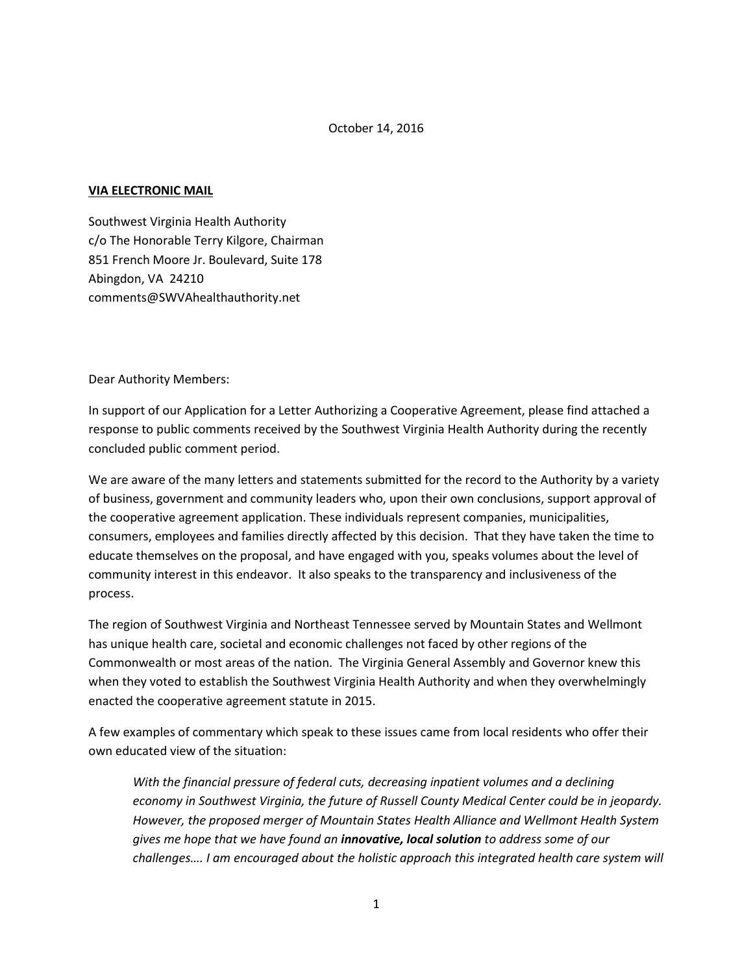## October 14, 2016

## **VIA ELECTRONIC MAIL**

Southwest Virginia Health Authority c/o The Honorable Terry Kilgore, Chairman 851 French Moore Jr. Boulevard, Suite 178 Abingdon, VA 24210 comments@SWVAhealthauthority.net

Dear Authority Members:

In support of our Application for a Letter Authorizing a Cooperative Agreement, please find attached a response to public comments received by the Southwest Virginia Health Authority during the recently concluded public comment period.

We are aware of the many letters and statements submitted for the record to the Authority by a variety of business, government and community leaders who, upon their own conclusions, support approval of the cooperative agreement application. These individuals represent companies, municipalities, consumers, employees and families directly affected by this decision. That they have taken the time to educate themselves on the proposal, and have engaged with you, speaks volumes about the level of community interest in this endeavor. It also speaks to the transparency and inclusiveness of the process.

The region of Southwest Virginia and Northeast Tennessee served by Mountain States and Wellmont has unique health care, societal and economic challenges not faced by other regions of the Commonwealth or most areas of the nation. The Virginia General Assembly and Governor knew this when they voted to establish the Southwest Virginia Health Authority and when they overwhelmingly enacted the cooperative agreement statute in 2015.

A few examples of commentary which speak to these issues came from local residents who offer their own educated view of the situation:

*With the financial pressure of federal cuts, decreasing inpatient volumes and a declining economy in Southwest Virginia, the future of Russell County Medical Center could be in jeopardy. However, the proposed merger of Mountain States Health Alliance and Wellmont Health System gives me hope that we have found an innovative, local solution to address some of our challenges…. I am encouraged about the holistic approach this integrated health care system will*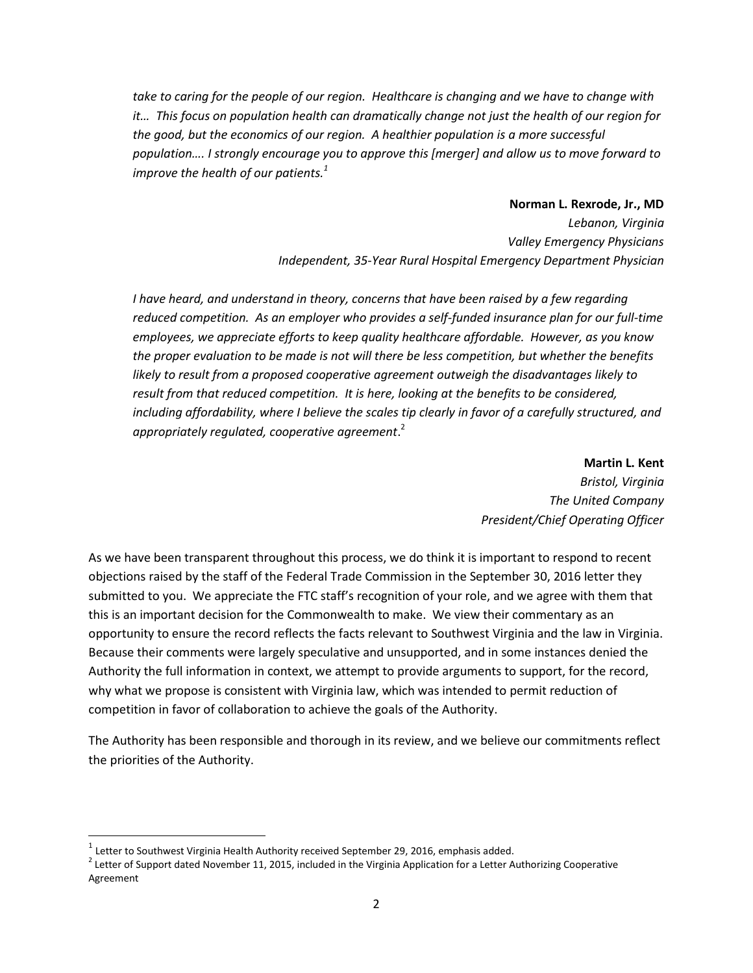*take to caring for the people of our region. Healthcare is changing and we have to change with it… This focus on population health can dramatically change not just the health of our region for the good, but the economics of our region. A healthier population is a more successful population…. I strongly encourage you to approve this [merger] and allow us to move forward to improve the health of our patients.<sup>1</sup>*

> **Norman L. Rexrode, Jr., MD** *Lebanon, Virginia Valley Emergency Physicians Independent, 35-Year Rural Hospital Emergency Department Physician*

*I* have heard, and understand in theory, concerns that have been raised by a few regarding *reduced competition. As an employer who provides a self-funded insurance plan for our full-time employees, we appreciate efforts to keep quality healthcare affordable. However, as you know the proper evaluation to be made is not will there be less competition, but whether the benefits likely to result from a proposed cooperative agreement outweigh the disadvantages likely to result from that reduced competition. It is here, looking at the benefits to be considered,*  including affordability, where I believe the scales tip clearly in favor of a carefully structured, and *appropriately regulated, cooperative agreement*. 2

> **Martin L. Kent** *Bristol, Virginia The United Company President/Chief Operating Officer*

As we have been transparent throughout this process, we do think it is important to respond to recent objections raised by the staff of the Federal Trade Commission in the September 30, 2016 letter they submitted to you. We appreciate the FTC staff's recognition of your role, and we agree with them that this is an important decision for the Commonwealth to make. We view their commentary as an opportunity to ensure the record reflects the facts relevant to Southwest Virginia and the law in Virginia. Because their comments were largely speculative and unsupported, and in some instances denied the Authority the full information in context, we attempt to provide arguments to support, for the record, why what we propose is consistent with Virginia law, which was intended to permit reduction of competition in favor of collaboration to achieve the goals of the Authority.

The Authority has been responsible and thorough in its review, and we believe our commitments reflect the priorities of the Authority.

 $\overline{a}$ 

 $^{\text{1}}$  Letter to Southwest Virginia Health Authority received September 29, 2016, emphasis added.

 $^2$  Letter of Support dated November 11, 2015, included in the Virginia Application for a Letter Authorizing Cooperative Agreement